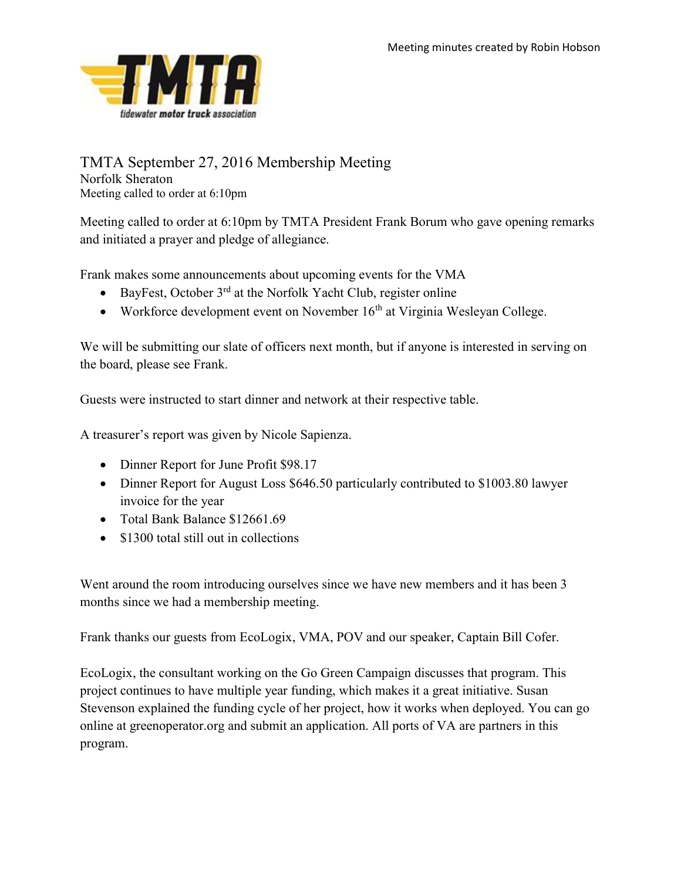

## TMTA September 27, 2016 Membership Meeting

Norfolk Sheraton Meeting called to order at 6:10pm

Meeting called to order at 6:10pm by TMTA President Frank Borum who gave opening remarks and initiated a prayer and pledge of allegiance.

Frank makes some announcements about upcoming events for the VMA

- BayFest, October  $3<sup>rd</sup>$  at the Norfolk Yacht Club, register online
- Workforce development event on November  $16<sup>th</sup>$  at Virginia Wesleyan College.

We will be submitting our slate of officers next month, but if anyone is interested in serving on the board, please see Frank.

Guests were instructed to start dinner and network at their respective table.

A treasurer's report was given by Nicole Sapienza.

- Dinner Report for June Profit \$98.17
- Dinner Report for August Loss \$646.50 particularly contributed to \$1003.80 lawyer invoice for the year
- Total Bank Balance \$12661.69
- \$1300 total still out in collections

Went around the room introducing ourselves since we have new members and it has been 3 months since we had a membership meeting.

Frank thanks our guests from EcoLogix, VMA, POV and our speaker, Captain Bill Cofer.

EcoLogix, the consultant working on the Go Green Campaign discusses that program. This project continues to have multiple year funding, which makes it a great initiative. Susan Stevenson explained the funding cycle of her project, how it works when deployed. You can go online at greenoperator.org and submit an application. All ports of VA are partners in this program.